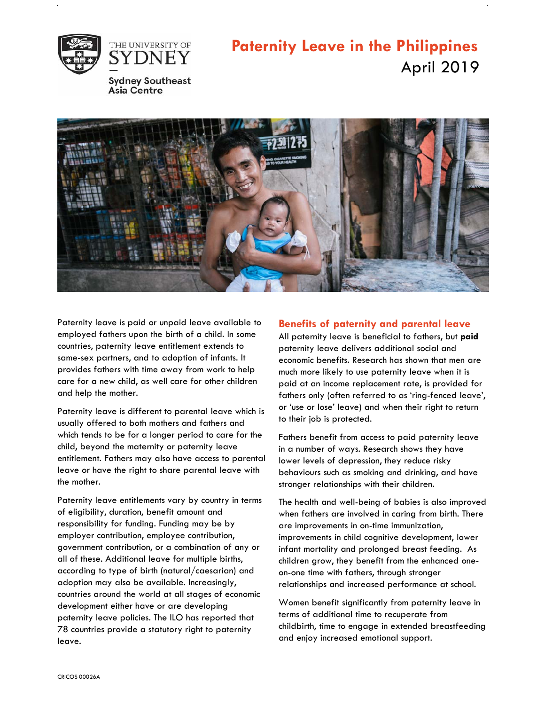

## **Paternity Leave in the Philippines** April 2019



Paternity leave is paid or unpaid leave available to employed fathers upon the birth of a child. In some countries, paternity leave entitlement extends to same-sex partners, and to adoption of infants. It provides fathers with time away from work to help care for a new child, as well care for other children and help the mother.

Paternity leave is different to parental leave which is usually offered to both mothers and fathers and which tends to be for a longer period to care for the child, beyond the maternity or paternity leave entitlement. Fathers may also have access to parental leave or have the right to share parental leave with the mother.

Paternity leave entitlements vary by country in terms of eligibility, duration, benefit amount and responsibility for funding. Funding may be by employer contribution, employee contribution, government contribution, or a combination of any or all of these. Additional leave for multiple births, according to type of birth (natural/caesarian) and adoption may also be available. Increasingly, countries around the world at all stages of economic development either have or are developing paternity leave policies. The ILO has reported that 78 countries provide a statutory right to paternity leave.

## **Benefits of paternity and parental leave**

All paternity leave is beneficial to fathers, but **paid**  paternity leave delivers additional social and economic benefits. Research has shown that men are much more likely to use paternity leave when it is paid at an income replacement rate, is provided for fathers only (often referred to as 'ring-fenced leave', or 'use or lose' leave) and when their right to return to their job is protected.

Fathers benefit from access to paid paternity leave in a number of ways. Research shows they have lower levels of depression, they reduce risky behaviours such as smoking and drinking, and have stronger relationships with their children.

The health and well-being of babies is also improved when fathers are involved in caring from birth. There are improvements in on-time immunization, improvements in child cognitive development, lower infant mortality and prolonged breast feeding. As children grow, they benefit from the enhanced oneon-one time with fathers, through stronger relationships and increased performance at school.

Women benefit significantly from paternity leave in terms of additional time to recuperate from childbirth, time to engage in extended breastfeeding and enjoy increased emotional support.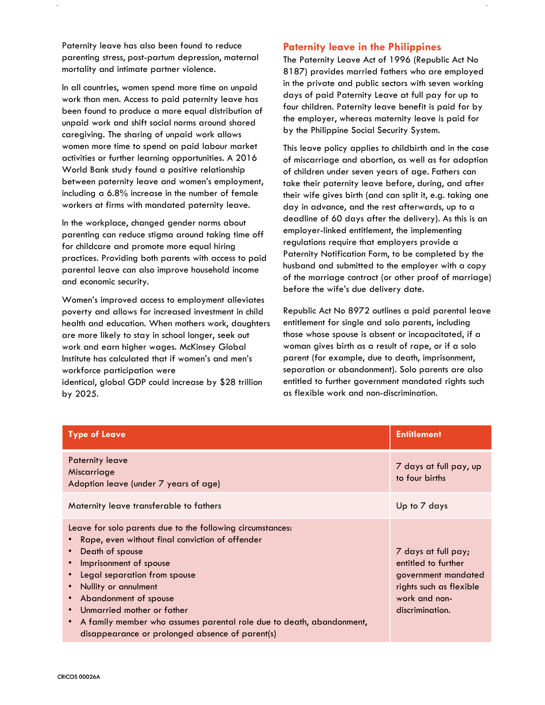Paternity leave has also been found to reduce parenting stress, post-partum depression, maternal mortality and intimate partner violence.

In all countries, women spend more time on unpaid work than men. Access to paid paternity leave has been found to produce a more equal distribution of unpaid work and shift social norms around shared caregiving. The sharing of unpaid work allows women more time to spend on paid labour market activities or further learning opportunities. A 2016 World Bank study found a positive relationship between paternity leave and women's employment, including a 6.8% increase in the number of female workers at firms with mandated paternity leave.

In the workplace, changed gender norms about parenting can reduce stigma around taking time off for childcare and promote more equal hiring practices. Providing both parents with access to paid parental leave can also improve household income and economic security.

Women's improved access to employment alleviates poverty and allows for increased investment in child health and education. When mothers work, daughters are more likely to stay in school longer, seek out work and earn higher wages. McKinsey Global Institute has calculated that if women's and men's workforce participation were identical, global GDP could increase by \$28 trillion by 2025.

## **Paternity leave in the Philippines**

The Paternity Leave Act of 1996 (Republic Act No 8187) provides married fathers who are employed in the private and public sectors with seven working days of paid Paternity Leave at full pay for up to four children. Paternity leave benefit is paid for by the employer, whereas maternity leave is paid for by the Philippine Social Security System.

This leave policy applies to childbirth and in the case of miscarriage and abortion, as well as for adoption of children under seven years of age. Fathers can take their paternity leave before, during, and after their wife gives birth (and can split it, e.g. taking one day in advance, and the rest afterwards, up to a deadline of 60 days after the delivery). As this is an employer-linked entitlement, the implementing regulations require that employers provide a Paternity Notification Form, to be completed by the husband and submitted to the employer with a copy of the marriage contract (or other proof of marriage) before the wife's due delivery date.

Republic Act No 8972 outlines a paid parental leave entitlement for single and solo parents, including those whose spouse is absent or incapacitated, if a woman gives birth as a result of rape, or if a solo parent (for example, due to death, imprisonment, separation or abandonment). Solo parents are also entitled to further government mandated rights such as flexible work and non-discrimination.

| <b>Type of Leave</b>                                                                                                                                                                                                                                                                                                                                                                                 | <b>Entitlement</b>                                                                                                               |
|------------------------------------------------------------------------------------------------------------------------------------------------------------------------------------------------------------------------------------------------------------------------------------------------------------------------------------------------------------------------------------------------------|----------------------------------------------------------------------------------------------------------------------------------|
| <b>Paternity leave</b><br>Miscarriage<br>Adoption leave (under 7 years of age)                                                                                                                                                                                                                                                                                                                       | 7 days at full pay, up<br>to four births                                                                                         |
| Maternity leave transferable to fathers                                                                                                                                                                                                                                                                                                                                                              | Up to 7 days                                                                                                                     |
| Leave for solo parents due to the following circumstances:<br>Rape, even without final conviction of offender<br>Death of spouse<br>Imprisonment of spouse<br>Legal separation from spouse<br>Nullity or annulment<br>Abandonment of spouse<br>Unmarried mother or father<br>A family member who assumes parental role due to death, abandonment,<br>disappearance or prolonged absence of parent(s) | 7 days at full pay;<br>entitled to further<br>government mandated<br>rights such as flexible<br>work and non-<br>discrimination. |